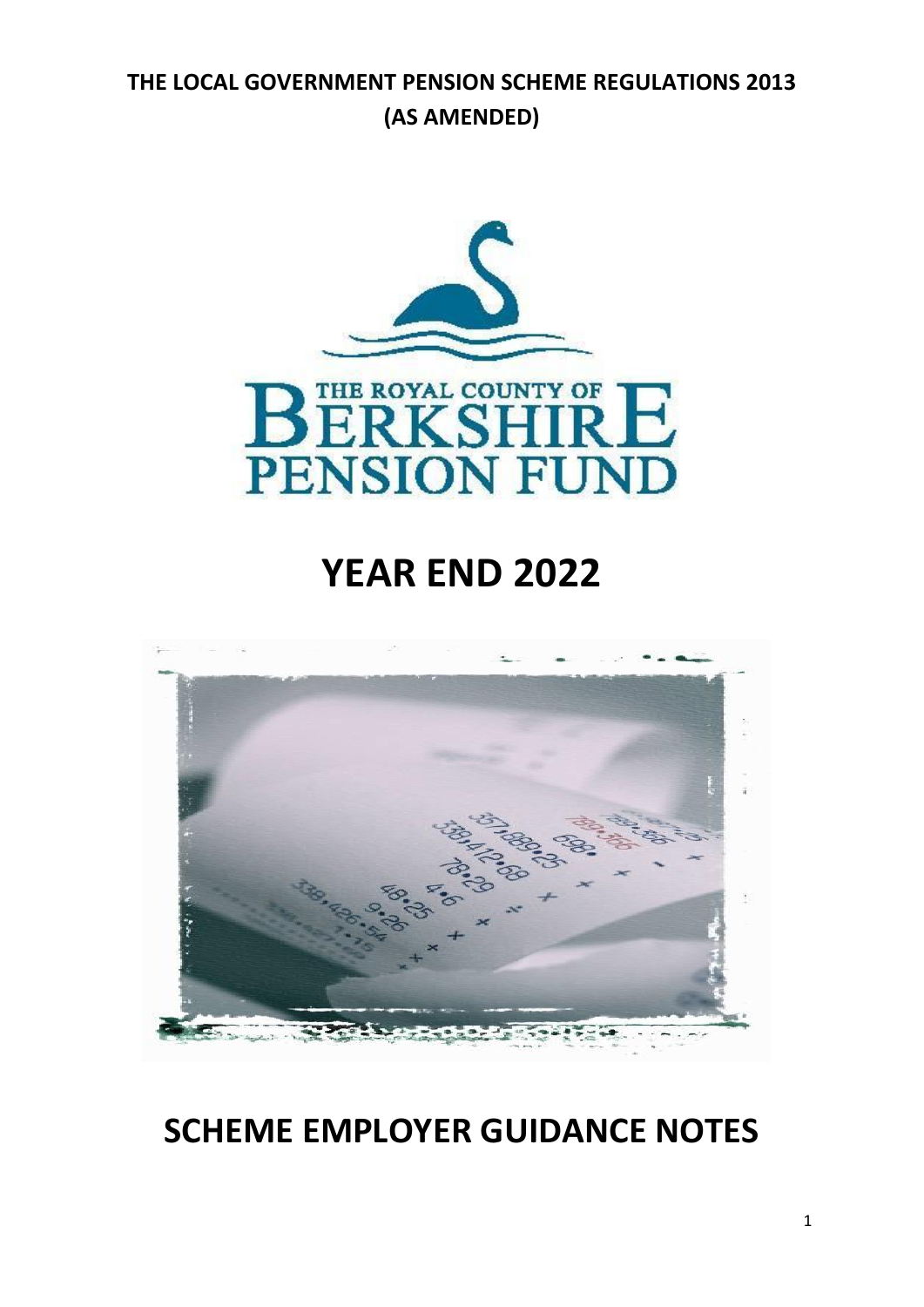## **THE LOCAL GOVERNMENT PENSION SCHEME REGULATIONS 2013 (AS AMENDED)**



# **YEAR END 2022**



## **SCHEME EMPLOYER GUIDANCE NOTES**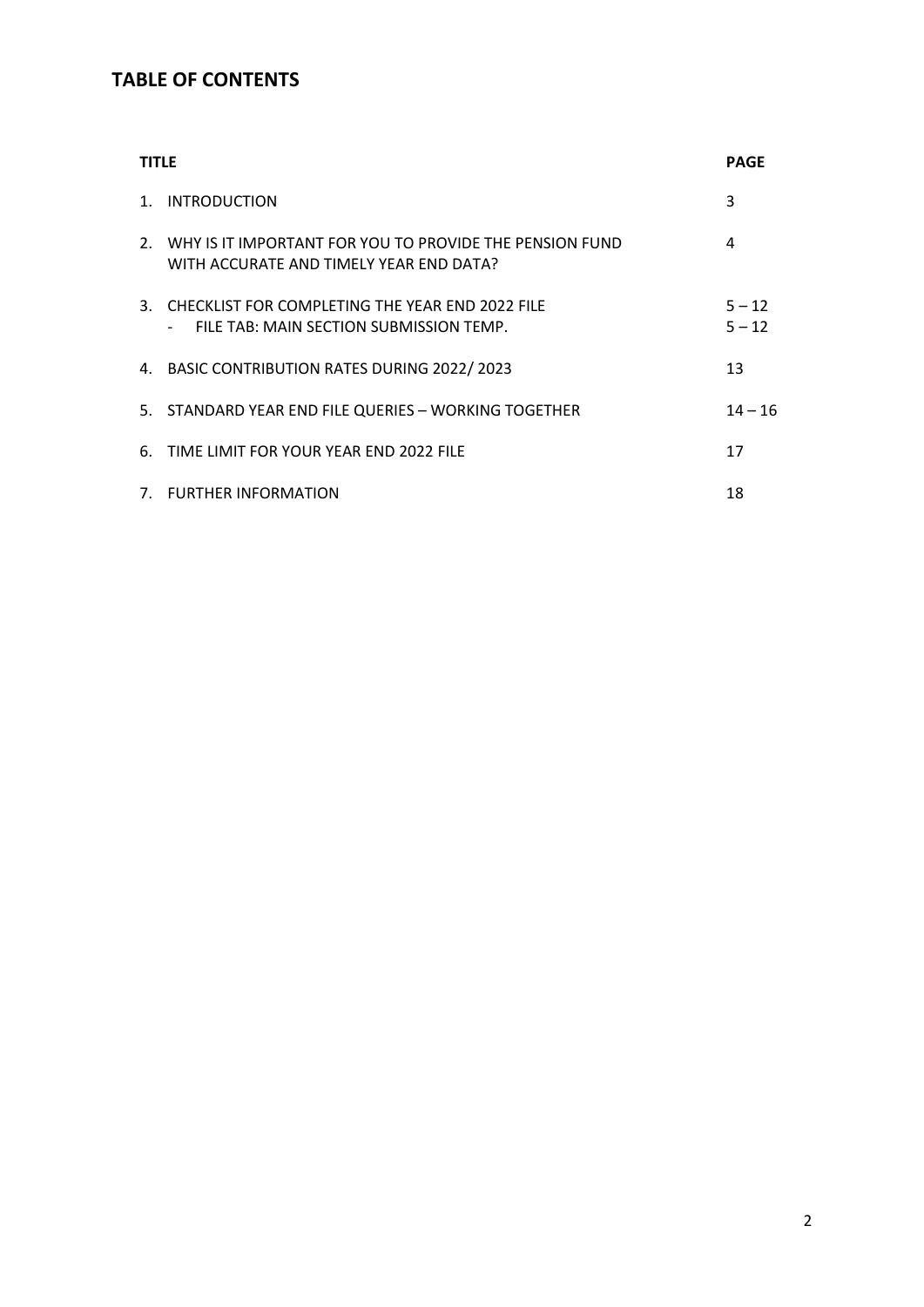## **TABLE OF CONTENTS**

| <b>TITLE</b>   |                                                                                                       | <b>PAGE</b>          |
|----------------|-------------------------------------------------------------------------------------------------------|----------------------|
| $\mathbf{1}$ . | <b>INTRODUCTION</b>                                                                                   | 3                    |
|                | 2. WHY IS IT IMPORTANT FOR YOU TO PROVIDE THE PENSION FUND<br>WITH ACCURATE AND TIMELY YEAR END DATA? | 4                    |
|                | 3. CHECKLIST FOR COMPLETING THE YEAR END 2022 FILE<br>FILE TAB: MAIN SECTION SUBMISSION TEMP.         | $5 - 12$<br>$5 - 12$ |
|                | 4. BASIC CONTRIBUTION RATES DURING 2022/2023                                                          | 13                   |
|                | 5. STANDARD YEAR END FILE QUERIES - WORKING TOGETHER                                                  | $14 - 16$            |
|                | 6. TIME LIMIT FOR YOUR YEAR END 2022 FILE                                                             | 17                   |
|                | 7. FURTHER INFORMATION                                                                                | 18                   |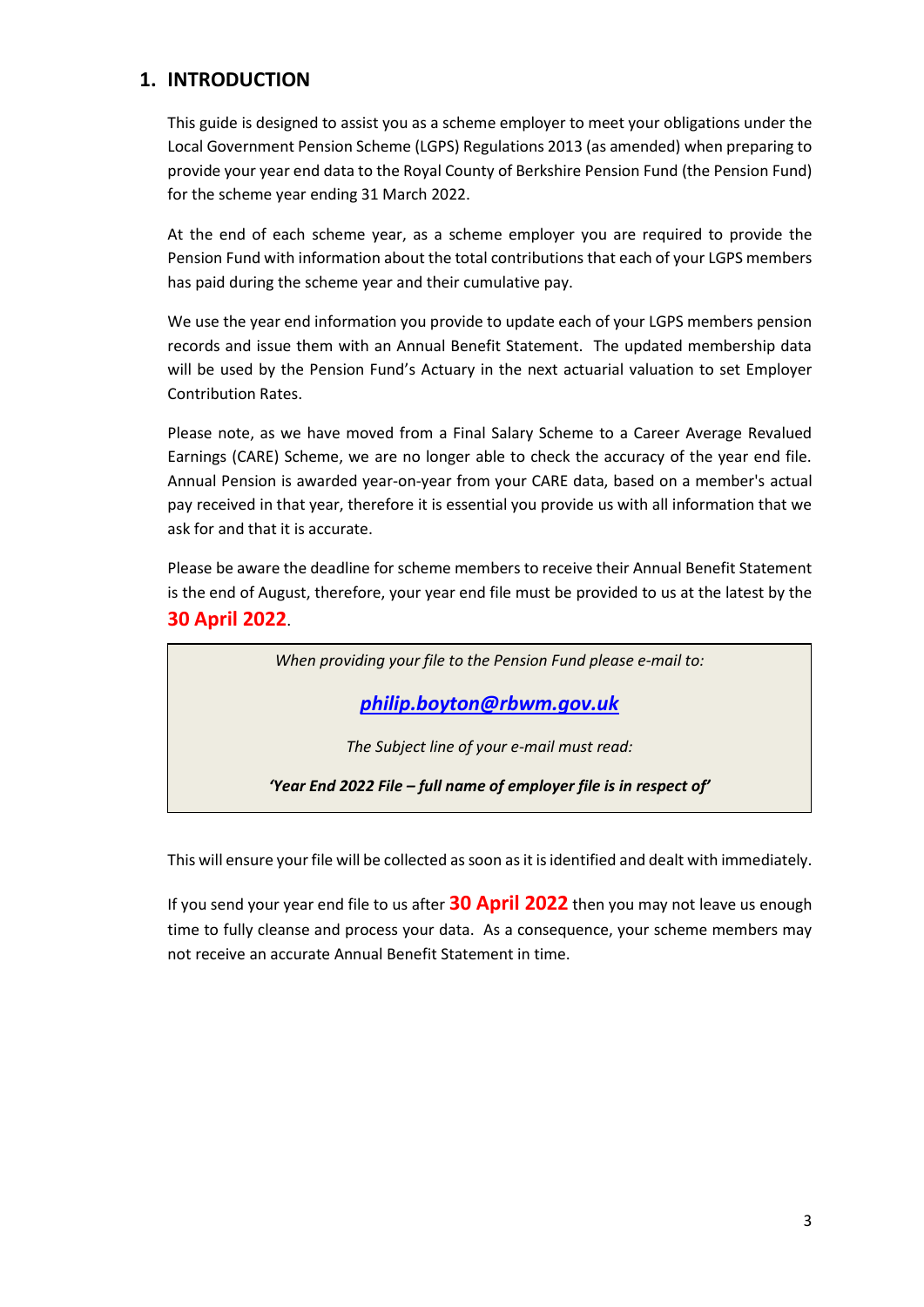## **1. INTRODUCTION**

This guide is designed to assist you as a scheme employer to meet your obligations under the Local Government Pension Scheme (LGPS) Regulations 2013 (as amended) when preparing to provide your year end data to the Royal County of Berkshire Pension Fund (the Pension Fund) for the scheme year ending 31 March 2022.

At the end of each scheme year, as a scheme employer you are required to provide the Pension Fund with information about the total contributions that each of your LGPS members has paid during the scheme year and their cumulative pay.

We use the year end information you provide to update each of your LGPS members pension records and issue them with an Annual Benefit Statement. The updated membership data will be used by the Pension Fund's Actuary in the next actuarial valuation to set Employer Contribution Rates.

Please note, as we have moved from a Final Salary Scheme to a Career Average Revalued Earnings (CARE) Scheme, we are no longer able to check the accuracy of the year end file. Annual Pension is awarded year-on-year from your CARE data, based on a member's actual pay received in that year, therefore it is essential you provide us with all information that we ask for and that it is accurate.

Please be aware the deadline for scheme members to receive their Annual Benefit Statement is the end of August, therefore, your year end file must be provided to us at the latest by the **30 April 2022**.

*When providing your file to the Pension Fund please e-mail to:*

*[philip.boyton@rbwm.gov.uk](mailto:info@berkshirepensions.org.uk)*

*The Subject line of your e-mail must read:*

*'Year End 2022 File – full name of employer file is in respect of'*

This will ensure your file will be collected as soon as it is identified and dealt with immediately.

If you send your year end file to us after **30 April 2022** then you may not leave us enough time to fully cleanse and process your data. As a consequence, your scheme members may not receive an accurate Annual Benefit Statement in time.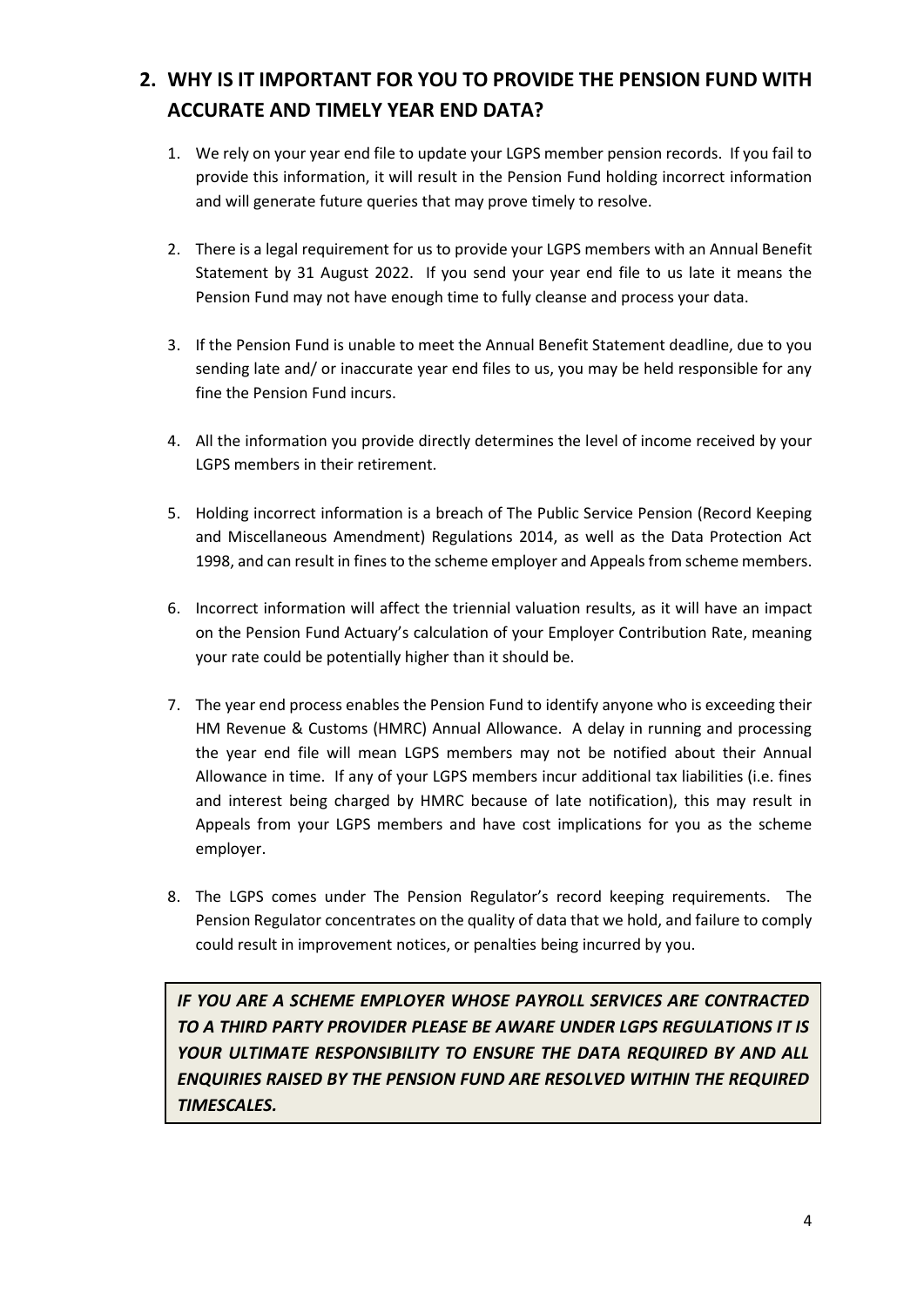## **2. WHY IS IT IMPORTANT FOR YOU TO PROVIDE THE PENSION FUND WITH ACCURATE AND TIMELY YEAR END DATA?**

- 1. We rely on your year end file to update your LGPS member pension records. If you fail to provide this information, it will result in the Pension Fund holding incorrect information and will generate future queries that may prove timely to resolve.
- 2. There is a legal requirement for us to provide your LGPS members with an Annual Benefit Statement by 31 August 2022. If you send your year end file to us late it means the Pension Fund may not have enough time to fully cleanse and process your data.
- 3. If the Pension Fund is unable to meet the Annual Benefit Statement deadline, due to you sending late and/ or inaccurate year end files to us, you may be held responsible for any fine the Pension Fund incurs.
- 4. All the information you provide directly determines the level of income received by your LGPS members in their retirement.
- 5. Holding incorrect information is a breach of The Public Service Pension (Record Keeping and Miscellaneous Amendment) Regulations 2014, as well as the Data Protection Act 1998, and can result in fines to the scheme employer and Appeals from scheme members.
- 6. Incorrect information will affect the triennial valuation results, as it will have an impact on the Pension Fund Actuary's calculation of your Employer Contribution Rate, meaning your rate could be potentially higher than it should be.
- 7. The year end process enables the Pension Fund to identify anyone who is exceeding their HM Revenue & Customs (HMRC) Annual Allowance. A delay in running and processing the year end file will mean LGPS members may not be notified about their Annual Allowance in time. If any of your LGPS members incur additional tax liabilities (i.e. fines and interest being charged by HMRC because of late notification), this may result in Appeals from your LGPS members and have cost implications for you as the scheme employer.
- 8. The LGPS comes under The Pension Regulator's record keeping requirements. The Pension Regulator concentrates on the quality of data that we hold, and failure to comply could result in improvement notices, or penalties being incurred by you.

*IF YOU ARE A SCHEME EMPLOYER WHOSE PAYROLL SERVICES ARE CONTRACTED TO A THIRD PARTY PROVIDER PLEASE BE AWARE UNDER LGPS REGULATIONS IT IS YOUR ULTIMATE RESPONSIBILITY TO ENSURE THE DATA REQUIRED BY AND ALL ENQUIRIES RAISED BY THE PENSION FUND ARE RESOLVED WITHIN THE REQUIRED TIMESCALES.*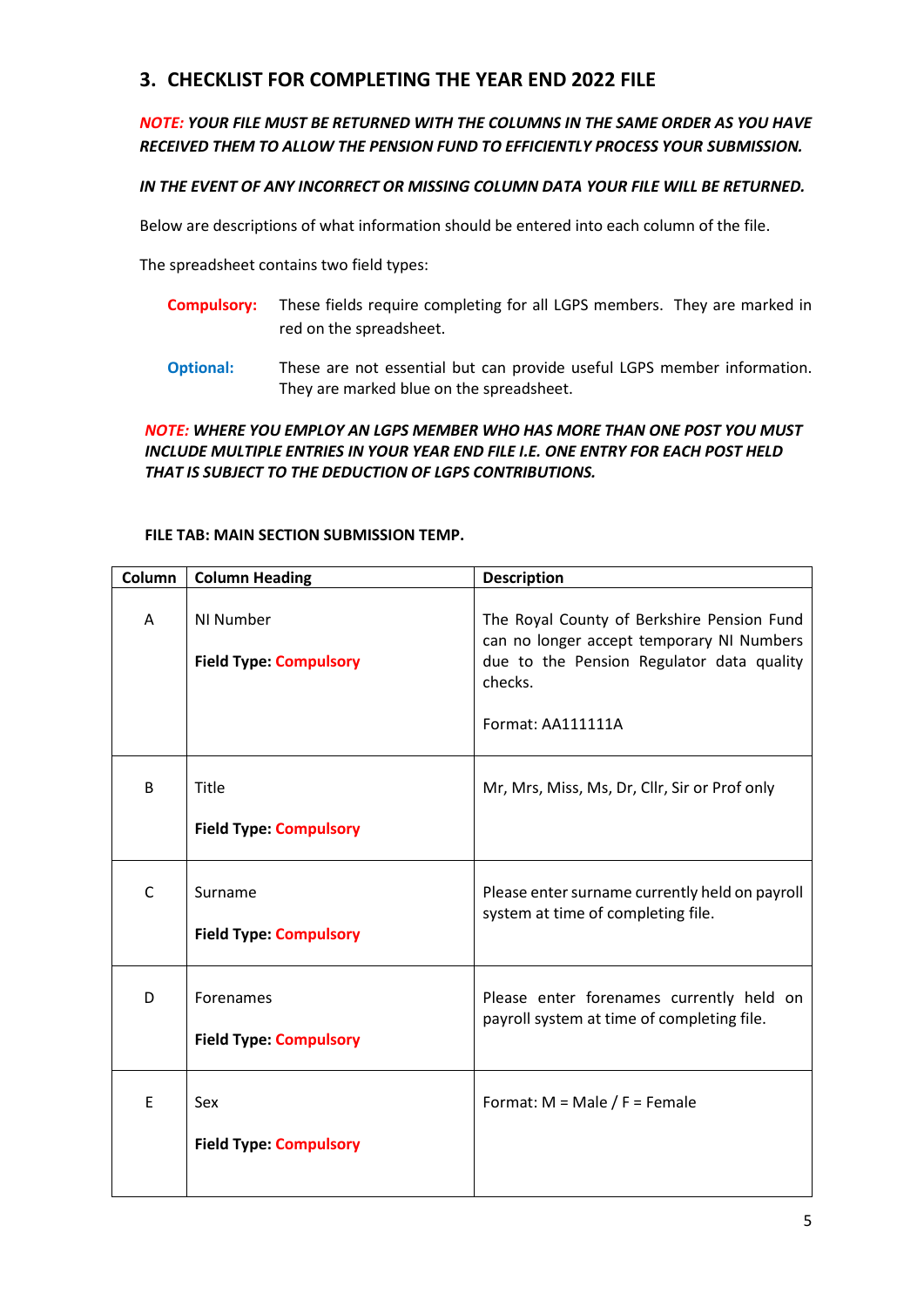## **3. CHECKLIST FOR COMPLETING THE YEAR END 2022 FILE**

## *NOTE: YOUR FILE MUST BE RETURNED WITH THE COLUMNS IN THE SAME ORDER AS YOU HAVE RECEIVED THEM TO ALLOW THE PENSION FUND TO EFFICIENTLY PROCESS YOUR SUBMISSION.*

## *IN THE EVENT OF ANY INCORRECT OR MISSING COLUMN DATA YOUR FILE WILL BE RETURNED.*

Below are descriptions of what information should be entered into each column of the file.

The spreadsheet contains two field types:

- **Compulsory:** These fields require completing for all LGPS members. They are marked in red on the spreadsheet.
- **Optional:** These are not essential but can provide useful LGPS member information. They are marked blue on the spreadsheet.

## *NOTE: WHERE YOU EMPLOY AN LGPS MEMBER WHO HAS MORE THAN ONE POST YOU MUST INCLUDE MULTIPLE ENTRIES IN YOUR YEAR END FILE I.E. ONE ENTRY FOR EACH POST HELD THAT IS SUBJECT TO THE DEDUCTION OF LGPS CONTRIBUTIONS.*

### **FILE TAB: MAIN SECTION SUBMISSION TEMP.**

| Column | <b>Column Heading</b>                      | <b>Description</b>                                                                                                                                                   |
|--------|--------------------------------------------|----------------------------------------------------------------------------------------------------------------------------------------------------------------------|
| A      | NI Number<br><b>Field Type: Compulsory</b> | The Royal County of Berkshire Pension Fund<br>can no longer accept temporary NI Numbers<br>due to the Pension Regulator data quality<br>checks.<br>Format: AA111111A |
| B      | Title<br><b>Field Type: Compulsory</b>     | Mr, Mrs, Miss, Ms, Dr, Cllr, Sir or Prof only                                                                                                                        |
| C      | Surname<br><b>Field Type: Compulsory</b>   | Please enter surname currently held on payroll<br>system at time of completing file.                                                                                 |
| D      | Forenames<br><b>Field Type: Compulsory</b> | Please enter forenames currently held on<br>payroll system at time of completing file.                                                                               |
| E      | Sex<br><b>Field Type: Compulsory</b>       | Format: $M = Male / F = Female$                                                                                                                                      |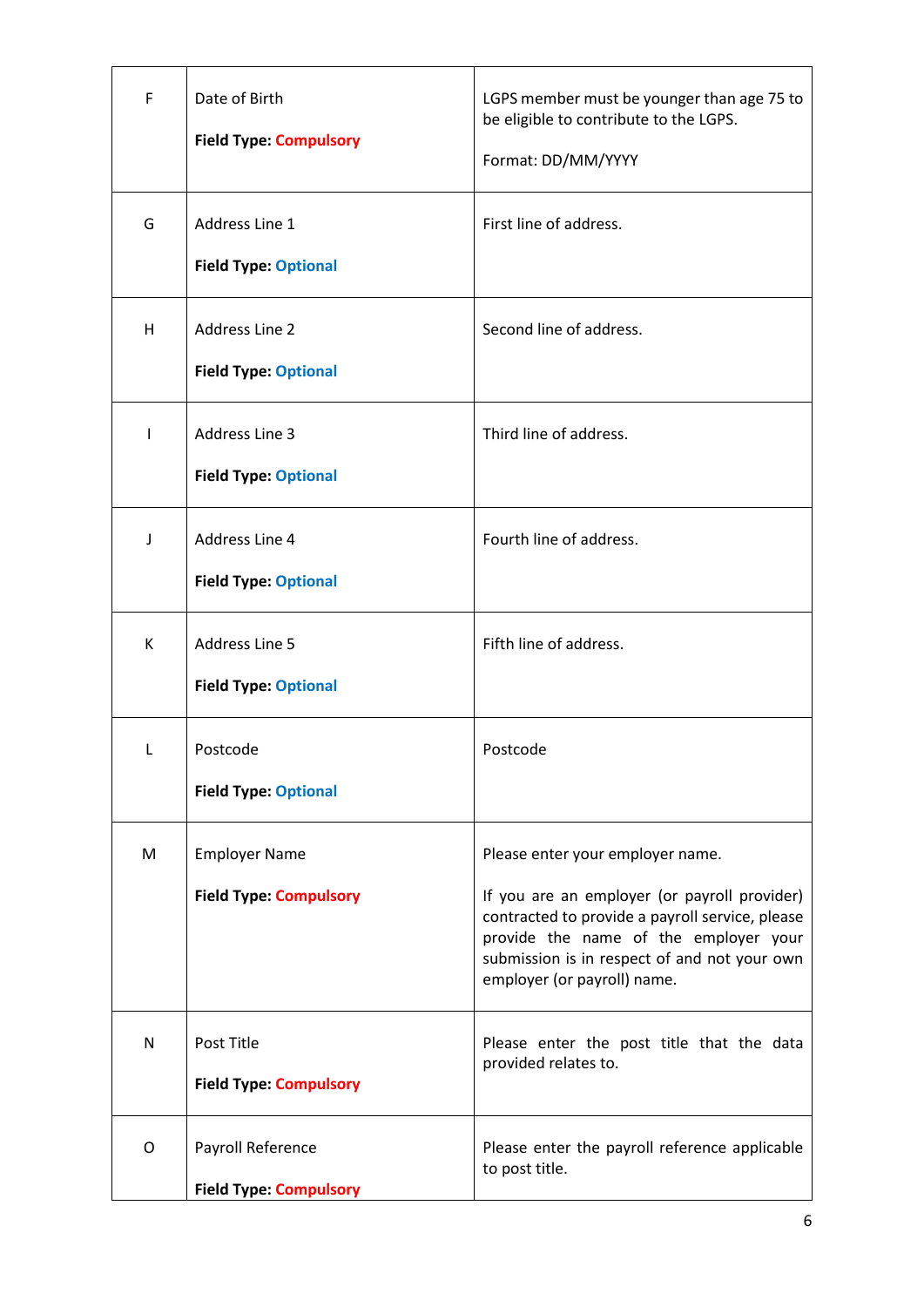| F            | Date of Birth<br><b>Field Type: Compulsory</b>        | LGPS member must be younger than age 75 to<br>be eligible to contribute to the LGPS.<br>Format: DD/MM/YYYY                                                                                                                                                  |
|--------------|-------------------------------------------------------|-------------------------------------------------------------------------------------------------------------------------------------------------------------------------------------------------------------------------------------------------------------|
| G            | Address Line 1<br><b>Field Type: Optional</b>         | First line of address.                                                                                                                                                                                                                                      |
| H            | <b>Address Line 2</b><br><b>Field Type: Optional</b>  | Second line of address.                                                                                                                                                                                                                                     |
| $\mathbf{I}$ | <b>Address Line 3</b><br><b>Field Type: Optional</b>  | Third line of address.                                                                                                                                                                                                                                      |
| J            | Address Line 4<br><b>Field Type: Optional</b>         | Fourth line of address.                                                                                                                                                                                                                                     |
| K            | <b>Address Line 5</b><br><b>Field Type: Optional</b>  | Fifth line of address.                                                                                                                                                                                                                                      |
| L            | Postcode<br><b>Field Type: Optional</b>               | Postcode                                                                                                                                                                                                                                                    |
| M            | <b>Employer Name</b><br><b>Field Type: Compulsory</b> | Please enter your employer name.<br>If you are an employer (or payroll provider)<br>contracted to provide a payroll service, please<br>provide the name of the employer your<br>submission is in respect of and not your own<br>employer (or payroll) name. |
| N            | Post Title<br><b>Field Type: Compulsory</b>           | Please enter the post title that the data<br>provided relates to.                                                                                                                                                                                           |
| O            | Payroll Reference<br><b>Field Type: Compulsory</b>    | Please enter the payroll reference applicable<br>to post title.                                                                                                                                                                                             |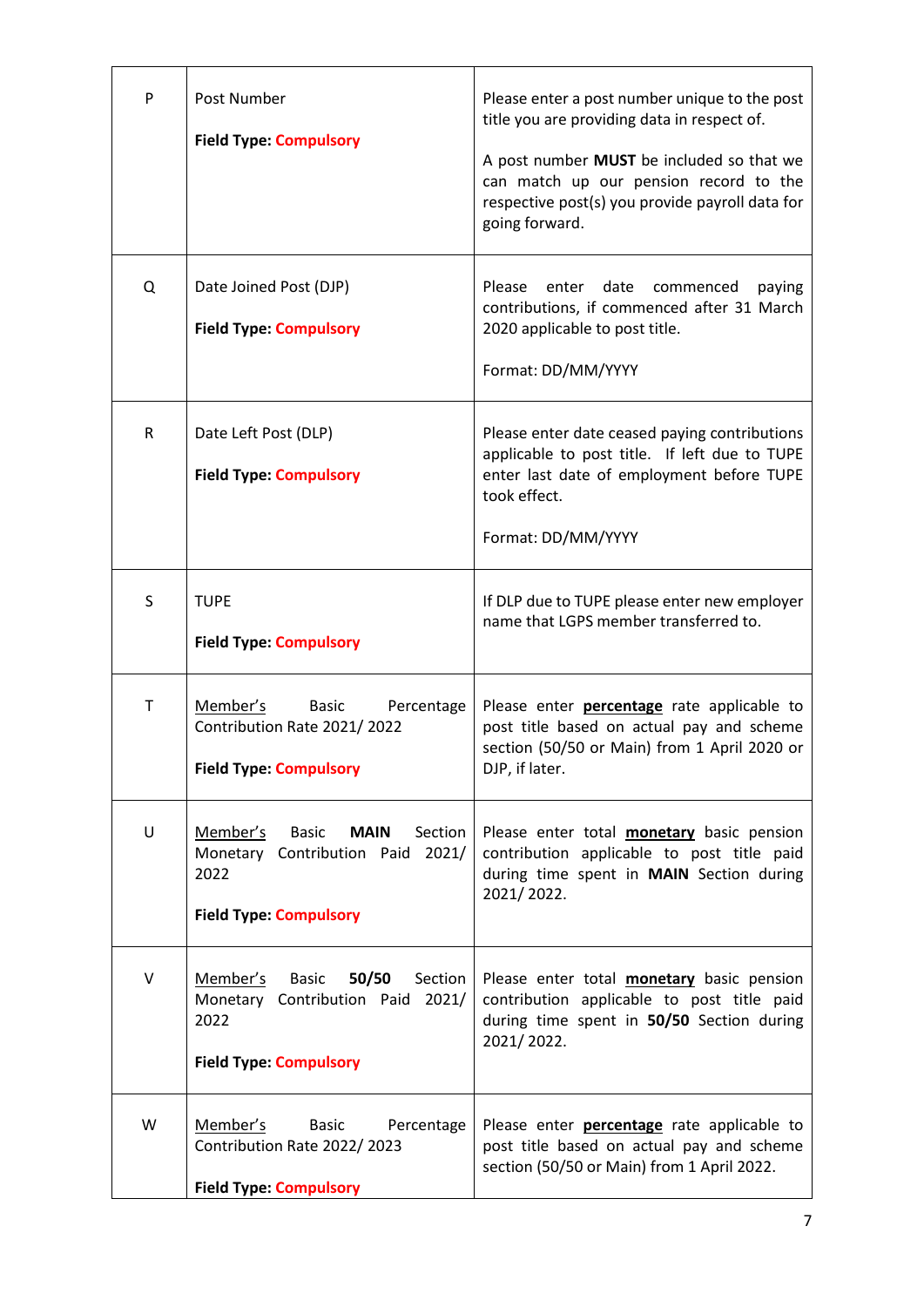| P         | Post Number<br><b>Field Type: Compulsory</b>                                                                                       | Please enter a post number unique to the post<br>title you are providing data in respect of.<br>A post number MUST be included so that we<br>can match up our pension record to the<br>respective post(s) you provide payroll data for<br>going forward. |
|-----------|------------------------------------------------------------------------------------------------------------------------------------|----------------------------------------------------------------------------------------------------------------------------------------------------------------------------------------------------------------------------------------------------------|
| Q         | Date Joined Post (DJP)<br><b>Field Type: Compulsory</b>                                                                            | Please<br>enter date<br>commenced<br>paying<br>contributions, if commenced after 31 March<br>2020 applicable to post title.<br>Format: DD/MM/YYYY                                                                                                        |
| ${\sf R}$ | Date Left Post (DLP)<br><b>Field Type: Compulsory</b>                                                                              | Please enter date ceased paying contributions<br>applicable to post title. If left due to TUPE<br>enter last date of employment before TUPE<br>took effect.<br>Format: DD/MM/YYYY                                                                        |
| S         | <b>TUPE</b><br><b>Field Type: Compulsory</b>                                                                                       | If DLP due to TUPE please enter new employer<br>name that LGPS member transferred to.                                                                                                                                                                    |
| Τ         | Member's<br><b>Basic</b><br>Percentage<br>Contribution Rate 2021/2022<br><b>Field Type: Compulsory</b>                             | Please enter <b>percentage</b> rate applicable to<br>post title based on actual pay and scheme<br>section (50/50 or Main) from 1 April 2020 or<br>DJP, if later.                                                                                         |
| U         | Member's<br><b>MAIN</b><br>Section<br><b>Basic</b><br>2021/<br>Monetary Contribution Paid<br>2022<br><b>Field Type: Compulsory</b> | Please enter total <b>monetary</b> basic pension<br>contribution applicable to post title paid<br>during time spent in MAIN Section during<br>2021/2022.                                                                                                 |
| V         | Member's<br><b>Basic</b><br>50/50<br>Section<br>Monetary Contribution Paid<br>2021/<br>2022<br><b>Field Type: Compulsory</b>       | Please enter total <b>monetary</b> basic pension<br>contribution applicable to post title paid<br>during time spent in 50/50 Section during<br>2021/2022.                                                                                                |
| W         | Member's<br><b>Basic</b><br>Percentage<br>Contribution Rate 2022/2023<br><b>Field Type: Compulsory</b>                             | Please enter <b>percentage</b> rate applicable to<br>post title based on actual pay and scheme<br>section (50/50 or Main) from 1 April 2022.                                                                                                             |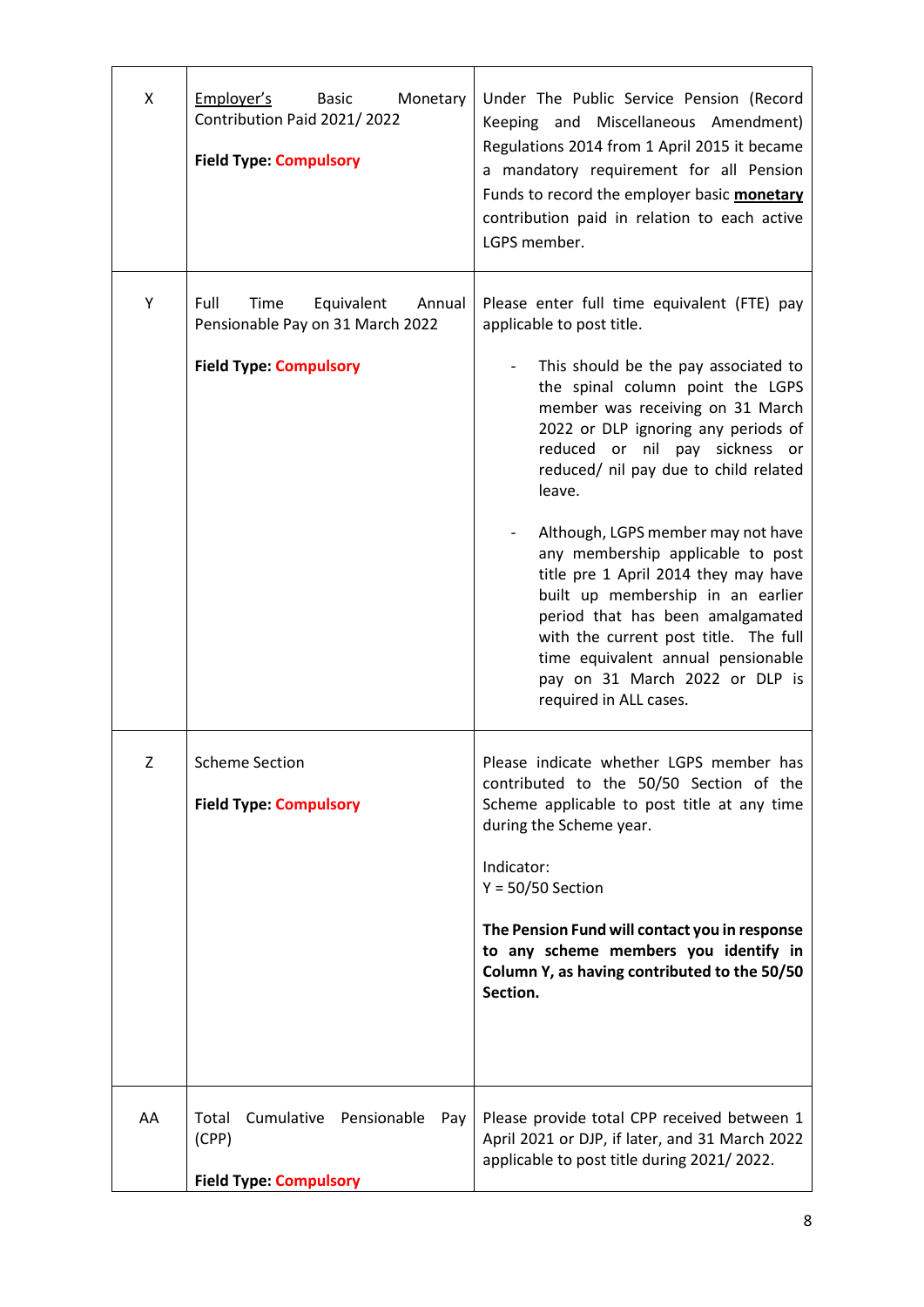| X  | Employer's<br><b>Basic</b><br>Monetary<br>Contribution Paid 2021/2022<br><b>Field Type: Compulsory</b>    | Under The Public Service Pension (Record<br>Keeping and Miscellaneous Amendment)<br>Regulations 2014 from 1 April 2015 it became<br>a mandatory requirement for all Pension<br>Funds to record the employer basic monetary<br>contribution paid in relation to each active<br>LGPS member.                                                                                                                                                                                                                                                                                                                                                                  |
|----|-----------------------------------------------------------------------------------------------------------|-------------------------------------------------------------------------------------------------------------------------------------------------------------------------------------------------------------------------------------------------------------------------------------------------------------------------------------------------------------------------------------------------------------------------------------------------------------------------------------------------------------------------------------------------------------------------------------------------------------------------------------------------------------|
| Υ  | Full<br>Equivalent<br>Time<br>Annual<br>Pensionable Pay on 31 March 2022<br><b>Field Type: Compulsory</b> | Please enter full time equivalent (FTE) pay<br>applicable to post title.<br>This should be the pay associated to<br>the spinal column point the LGPS<br>member was receiving on 31 March<br>2022 or DLP ignoring any periods of<br>reduced or nil pay sickness or<br>reduced/ nil pay due to child related<br>leave.<br>Although, LGPS member may not have<br>any membership applicable to post<br>title pre 1 April 2014 they may have<br>built up membership in an earlier<br>period that has been amalgamated<br>with the current post title. The full<br>time equivalent annual pensionable<br>pay on 31 March 2022 or DLP is<br>required in ALL cases. |
| Ζ  | <b>Scheme Section</b><br><b>Field Type: Compulsory</b>                                                    | Please indicate whether LGPS member has<br>contributed to the 50/50 Section of the<br>Scheme applicable to post title at any time<br>during the Scheme year.<br>Indicator:<br>$Y = 50/50$ Section<br>The Pension Fund will contact you in response<br>to any scheme members you identify in<br>Column Y, as having contributed to the 50/50<br>Section.                                                                                                                                                                                                                                                                                                     |
| AA | Cumulative<br>Total<br>Pensionable<br>Pay<br>(CPP)<br><b>Field Type: Compulsory</b>                       | Please provide total CPP received between 1<br>April 2021 or DJP, if later, and 31 March 2022<br>applicable to post title during 2021/2022.                                                                                                                                                                                                                                                                                                                                                                                                                                                                                                                 |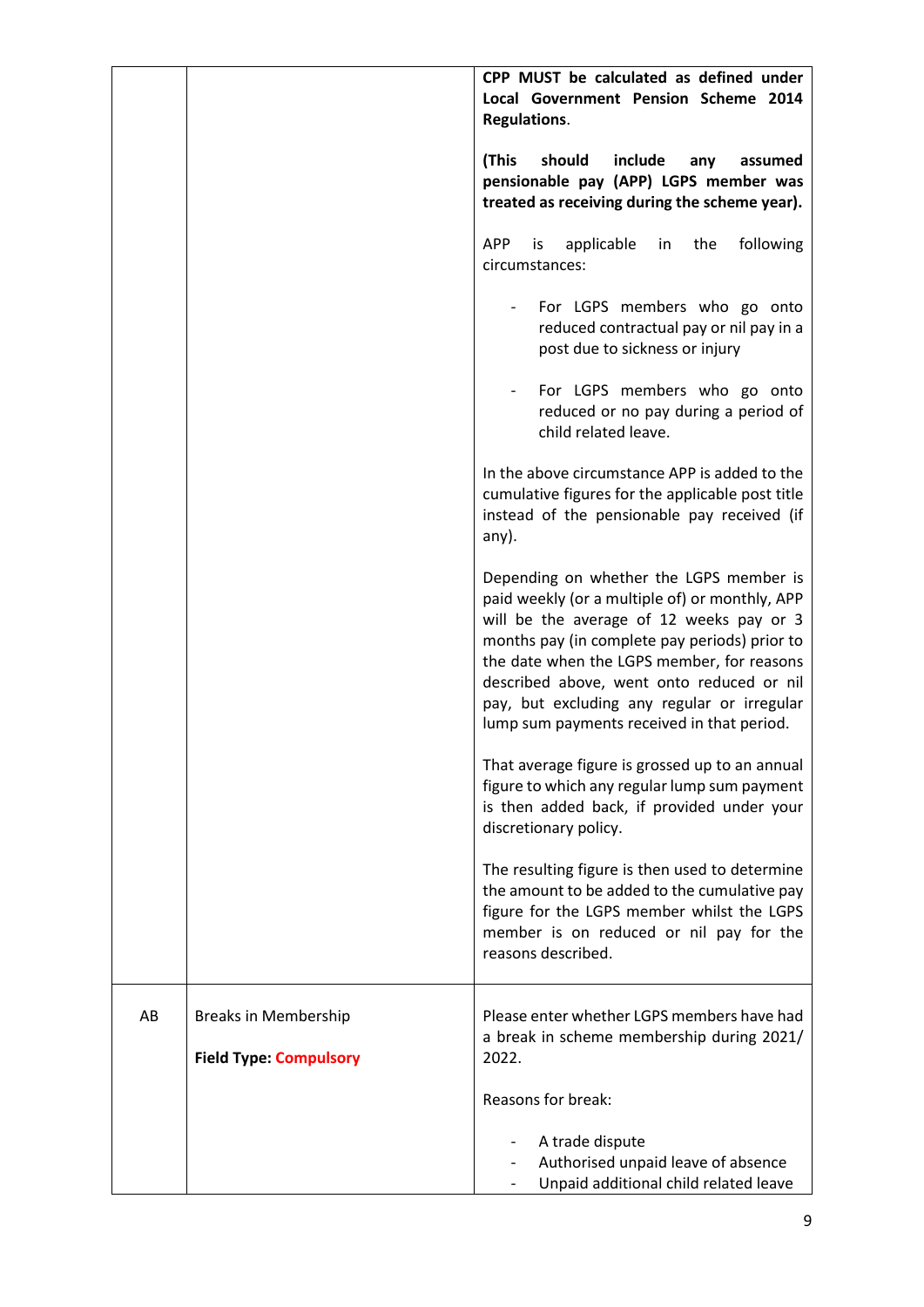|    |                               | CPP MUST be calculated as defined under<br>Local Government Pension Scheme 2014<br>Regulations.                                                                                                                                                                                                                                                                                |
|----|-------------------------------|--------------------------------------------------------------------------------------------------------------------------------------------------------------------------------------------------------------------------------------------------------------------------------------------------------------------------------------------------------------------------------|
|    |                               | should<br>(This<br>include<br>any<br>assumed<br>pensionable pay (APP) LGPS member was<br>treated as receiving during the scheme year).                                                                                                                                                                                                                                         |
|    |                               | <b>APP</b><br>following<br>applicable<br>the<br>is.<br>in<br>circumstances:                                                                                                                                                                                                                                                                                                    |
|    |                               | For LGPS members who go onto<br>reduced contractual pay or nil pay in a<br>post due to sickness or injury                                                                                                                                                                                                                                                                      |
|    |                               | For LGPS members who go onto<br>reduced or no pay during a period of<br>child related leave.                                                                                                                                                                                                                                                                                   |
|    |                               | In the above circumstance APP is added to the<br>cumulative figures for the applicable post title<br>instead of the pensionable pay received (if<br>any).                                                                                                                                                                                                                      |
|    |                               | Depending on whether the LGPS member is<br>paid weekly (or a multiple of) or monthly, APP<br>will be the average of 12 weeks pay or 3<br>months pay (in complete pay periods) prior to<br>the date when the LGPS member, for reasons<br>described above, went onto reduced or nil<br>pay, but excluding any regular or irregular<br>lump sum payments received in that period. |
|    |                               | That average figure is grossed up to an annual<br>figure to which any regular lump sum payment<br>is then added back, if provided under your<br>discretionary policy.                                                                                                                                                                                                          |
|    |                               | The resulting figure is then used to determine<br>the amount to be added to the cumulative pay<br>figure for the LGPS member whilst the LGPS<br>member is on reduced or nil pay for the<br>reasons described.                                                                                                                                                                  |
| AB | <b>Breaks in Membership</b>   | Please enter whether LGPS members have had<br>a break in scheme membership during 2021/                                                                                                                                                                                                                                                                                        |
|    | <b>Field Type: Compulsory</b> | 2022.                                                                                                                                                                                                                                                                                                                                                                          |
|    |                               | Reasons for break:                                                                                                                                                                                                                                                                                                                                                             |
|    |                               | A trade dispute<br>Authorised unpaid leave of absence<br>Unpaid additional child related leave                                                                                                                                                                                                                                                                                 |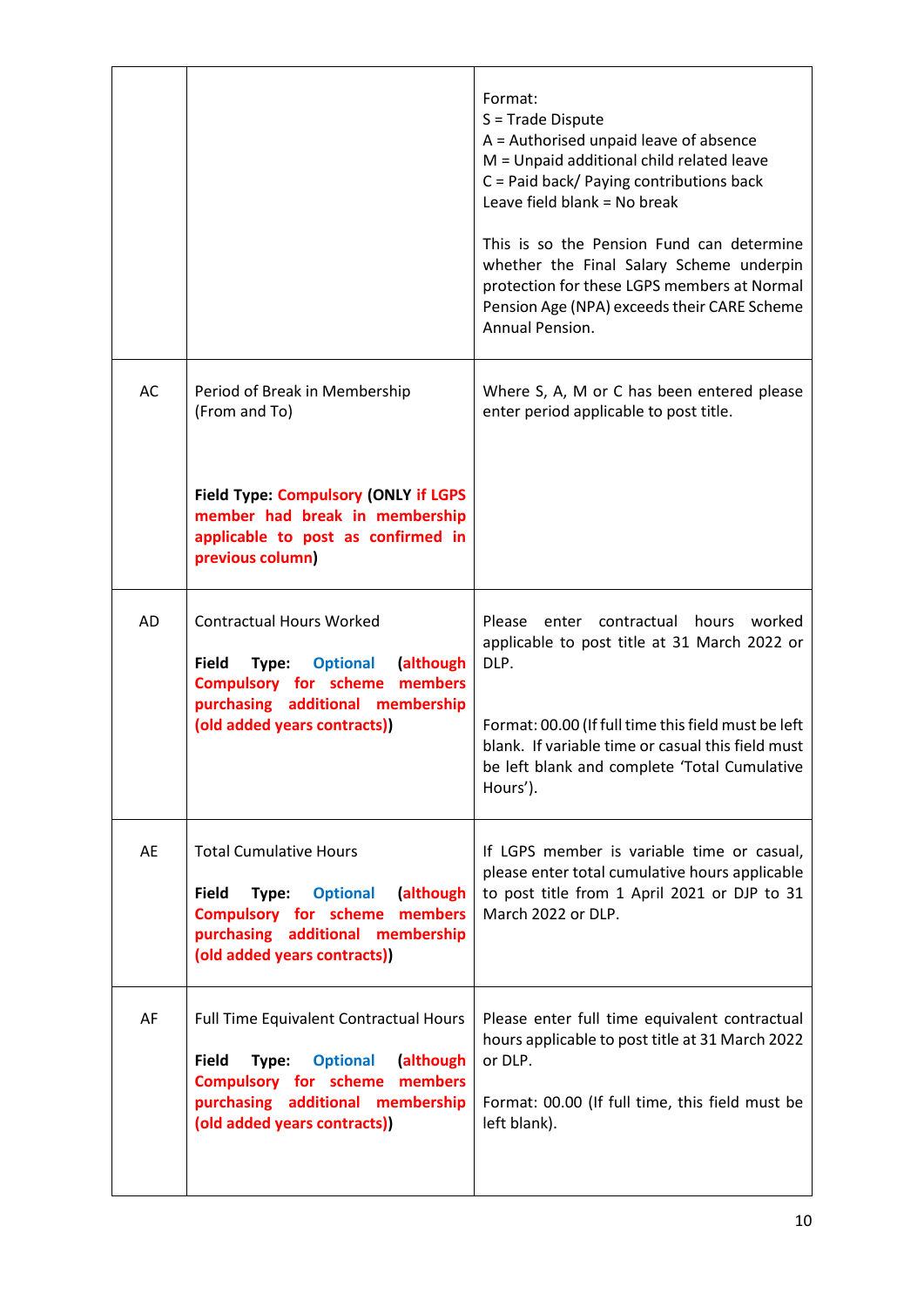|    |                                                                                                                                                                                                             | Format:<br>$S = Trade Dispute$<br>A = Authorised unpaid leave of absence<br>M = Unpaid additional child related leave<br>C = Paid back/ Paying contributions back<br>Leave field blank = No break<br>This is so the Pension Fund can determine<br>whether the Final Salary Scheme underpin<br>protection for these LGPS members at Normal<br>Pension Age (NPA) exceeds their CARE Scheme<br>Annual Pension. |
|----|-------------------------------------------------------------------------------------------------------------------------------------------------------------------------------------------------------------|-------------------------------------------------------------------------------------------------------------------------------------------------------------------------------------------------------------------------------------------------------------------------------------------------------------------------------------------------------------------------------------------------------------|
| AC | Period of Break in Membership<br>(From and To)<br><b>Field Type: Compulsory (ONLY if LGPS</b><br>member had break in membership<br>applicable to post as confirmed in<br>previous column)                   | Where S, A, M or C has been entered please<br>enter period applicable to post title.                                                                                                                                                                                                                                                                                                                        |
| AD | <b>Contractual Hours Worked</b><br><b>Field</b><br>Type:<br><b>Optional</b><br>(although<br><b>Compulsory for scheme</b><br>members<br>purchasing additional membership<br>(old added years contracts))     | Please<br>enter contractual<br>hours worked<br>applicable to post title at 31 March 2022 or<br>DLP.<br>Format: 00.00 (If full time this field must be left<br>blank. If variable time or casual this field must<br>be left blank and complete 'Total Cumulative<br>Hours').                                                                                                                                 |
| AE | <b>Total Cumulative Hours</b><br><b>Field</b><br><b>Optional</b><br>(although<br>Type:<br><b>Compulsory for scheme</b><br>members<br>purchasing additional membership<br>(old added years contracts))       | If LGPS member is variable time or casual,<br>please enter total cumulative hours applicable<br>to post title from 1 April 2021 or DJP to 31<br>March 2022 or DLP.                                                                                                                                                                                                                                          |
| AF | Full Time Equivalent Contractual Hours<br><b>Field</b><br><b>Optional</b><br>(although<br>Type:<br><b>Compulsory for scheme members</b><br>purchasing additional membership<br>(old added years contracts)) | Please enter full time equivalent contractual<br>hours applicable to post title at 31 March 2022<br>or DLP.<br>Format: 00.00 (If full time, this field must be<br>left blank).                                                                                                                                                                                                                              |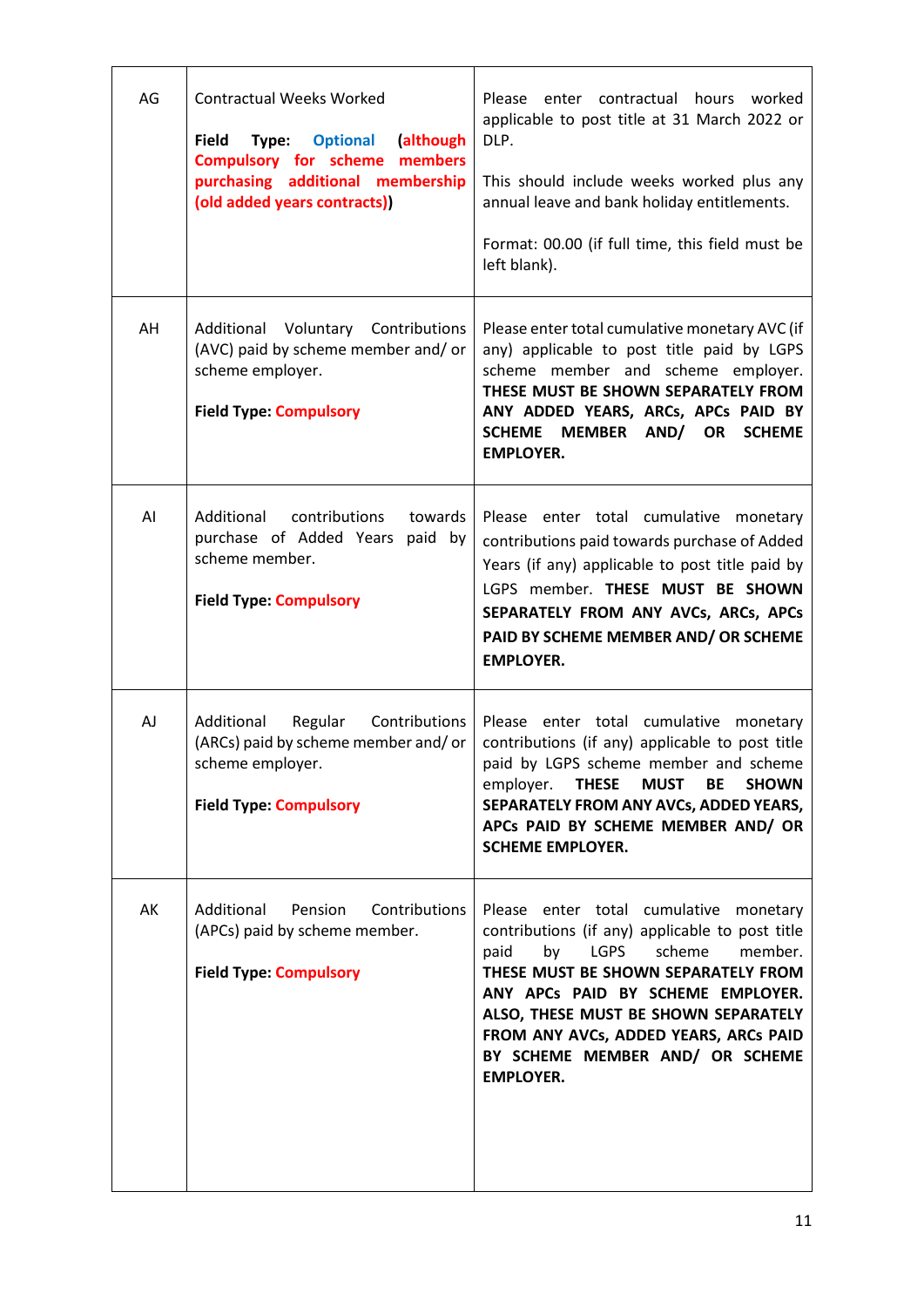| AG | <b>Contractual Weeks Worked</b><br><b>Field</b><br><b>Optional</b><br>(although<br>Type:<br><b>Compulsory for scheme members</b><br>purchasing additional membership<br>(old added years contracts)) | Please enter contractual hours worked<br>applicable to post title at 31 March 2022 or<br>DLP.<br>This should include weeks worked plus any<br>annual leave and bank holiday entitlements.<br>Format: 00.00 (if full time, this field must be<br>left blank).                                                                                          |
|----|------------------------------------------------------------------------------------------------------------------------------------------------------------------------------------------------------|-------------------------------------------------------------------------------------------------------------------------------------------------------------------------------------------------------------------------------------------------------------------------------------------------------------------------------------------------------|
| AH | Additional<br>Voluntary Contributions<br>(AVC) paid by scheme member and/ or<br>scheme employer.<br><b>Field Type: Compulsory</b>                                                                    | Please enter total cumulative monetary AVC (if<br>any) applicable to post title paid by LGPS<br>scheme member and scheme employer.<br>THESE MUST BE SHOWN SEPARATELY FROM<br>ANY ADDED YEARS, ARCs, APCs PAID BY<br>SCHEME MEMBER AND/ OR<br><b>SCHEME</b><br><b>EMPLOYER.</b>                                                                        |
| AI | Additional<br>contributions<br>towards<br>purchase of Added Years<br>paid by<br>scheme member.<br><b>Field Type: Compulsory</b>                                                                      | Please enter total cumulative monetary<br>contributions paid towards purchase of Added<br>Years (if any) applicable to post title paid by<br>LGPS member. THESE MUST BE SHOWN<br>SEPARATELY FROM ANY AVCs, ARCs, APCs<br>PAID BY SCHEME MEMBER AND/ OR SCHEME<br><b>EMPLOYER.</b>                                                                     |
| AJ | Additional<br>Regular<br>Contributions<br>(ARCs) paid by scheme member and/or<br>scheme employer.<br><b>Field Type: Compulsory</b>                                                                   | Please enter total cumulative monetary<br>contributions (if any) applicable to post title<br>paid by LGPS scheme member and scheme<br>employer. THESE MUST<br>BE<br><b>SHOWN</b><br>SEPARATELY FROM ANY AVCs, ADDED YEARS,<br>APCs PAID BY SCHEME MEMBER AND/ OR<br><b>SCHEME EMPLOYER.</b>                                                           |
| AK | Additional<br>Pension<br>Contributions<br>(APCs) paid by scheme member.<br><b>Field Type: Compulsory</b>                                                                                             | Please enter total cumulative monetary<br>contributions (if any) applicable to post title<br>by LGPS<br>scheme<br>paid<br>member.<br>THESE MUST BE SHOWN SEPARATELY FROM<br>ANY APCs PAID BY SCHEME EMPLOYER.<br>ALSO, THESE MUST BE SHOWN SEPARATELY<br>FROM ANY AVCs, ADDED YEARS, ARCs PAID<br>BY SCHEME MEMBER AND/ OR SCHEME<br><b>EMPLOYER.</b> |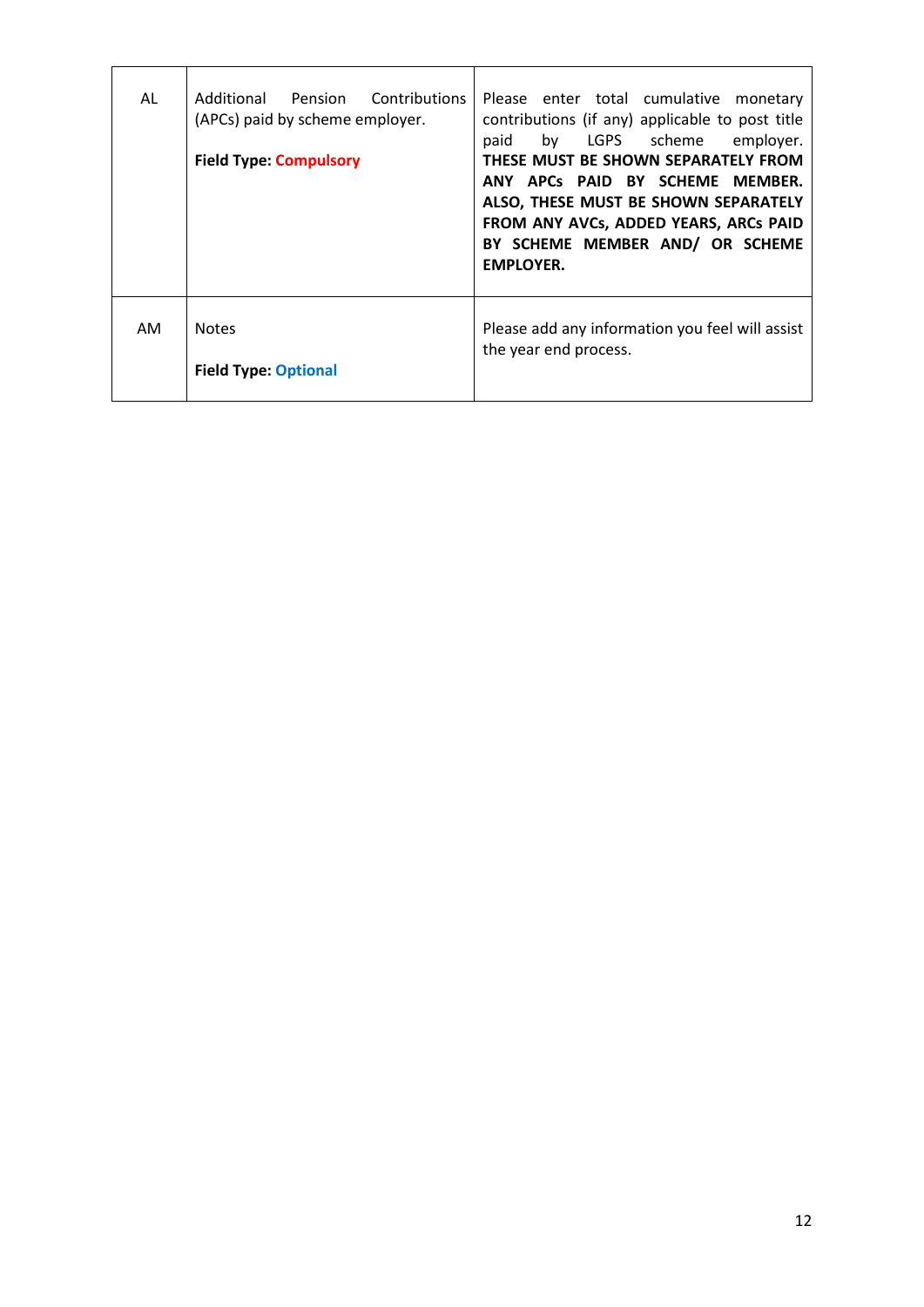| AL | Additional Pension Contributions<br>(APCs) paid by scheme employer.<br><b>Field Type: Compulsory</b> | Please enter total cumulative<br>monetary<br>contributions (if any) applicable to post title<br>by LGPS scheme<br>employer.<br>paid<br>THESE MUST BE SHOWN SEPARATELY FROM<br>ANY APCs PAID BY SCHEME MEMBER.<br>ALSO, THESE MUST BE SHOWN SEPARATELY<br>FROM ANY AVCs, ADDED YEARS, ARCs PAID<br>BY SCHEME MEMBER AND/ OR SCHEME<br><b>EMPLOYER.</b> |
|----|------------------------------------------------------------------------------------------------------|-------------------------------------------------------------------------------------------------------------------------------------------------------------------------------------------------------------------------------------------------------------------------------------------------------------------------------------------------------|
| AM | <b>Notes</b><br><b>Field Type: Optional</b>                                                          | Please add any information you feel will assist<br>the year end process.                                                                                                                                                                                                                                                                              |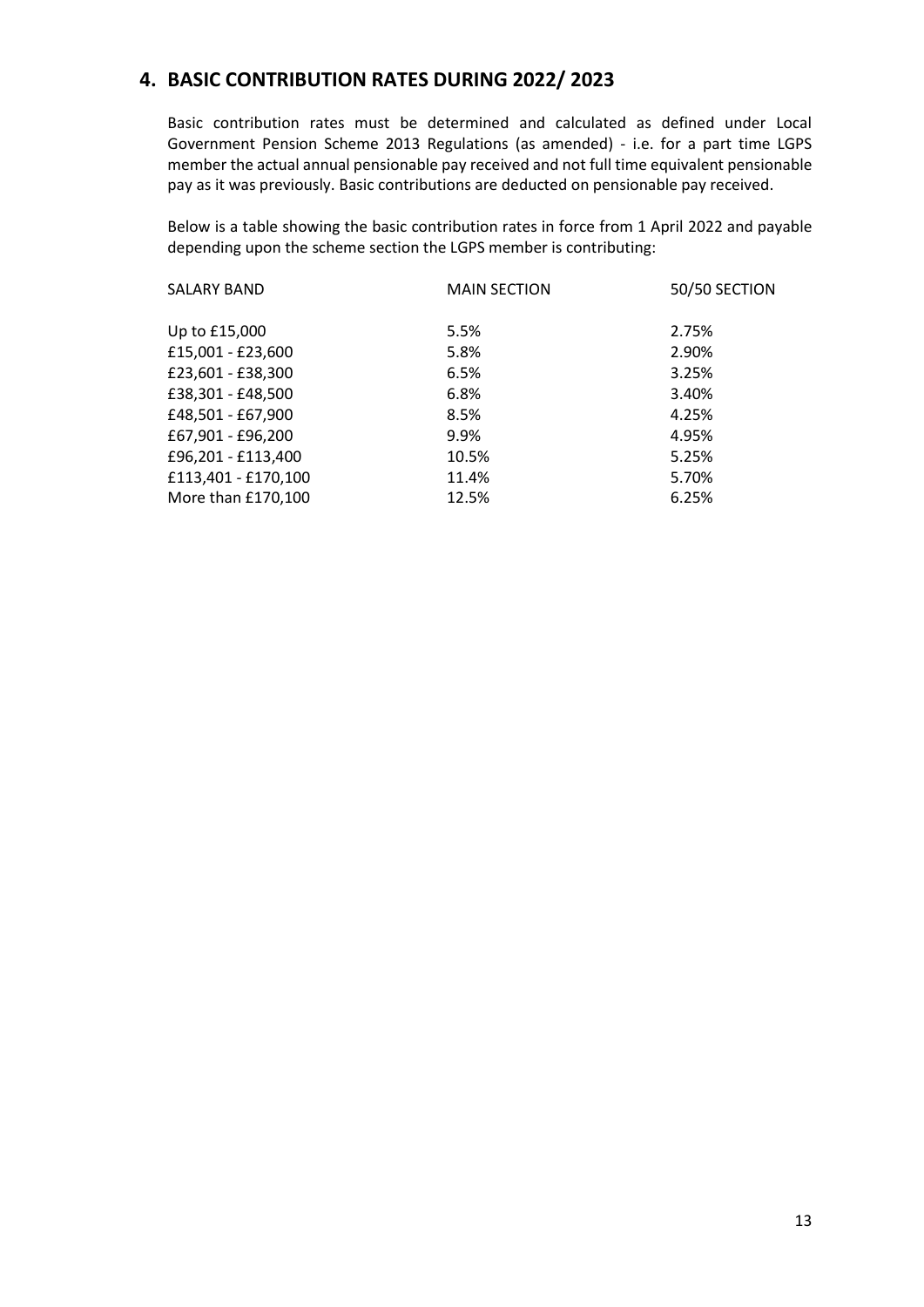## **4. BASIC CONTRIBUTION RATES DURING 2022/ 2023**

Basic contribution rates must be determined and calculated as defined under Local Government Pension Scheme 2013 Regulations (as amended) - i.e. for a part time LGPS member the actual annual pensionable pay received and not full time equivalent pensionable pay as it was previously. Basic contributions are deducted on pensionable pay received.

Below is a table showing the basic contribution rates in force from 1 April 2022 and payable depending upon the scheme section the LGPS member is contributing:

| <b>SALARY BAND</b>  | <b>MAIN SECTION</b> | 50/50 SECTION |
|---------------------|---------------------|---------------|
| Up to £15,000       | 5.5%                | 2.75%         |
| £15,001 - £23,600   | 5.8%                | 2.90%         |
| £23,601 - £38,300   | 6.5%                | 3.25%         |
| £38,301 - £48,500   | 6.8%                | 3.40%         |
| £48,501 - £67,900   | 8.5%                | 4.25%         |
| £67,901 - £96,200   | 9.9%                | 4.95%         |
| £96,201 - £113,400  | 10.5%               | 5.25%         |
| £113,401 - £170,100 | 11.4%               | 5.70%         |
| More than £170,100  | 12.5%               | 6.25%         |
|                     |                     |               |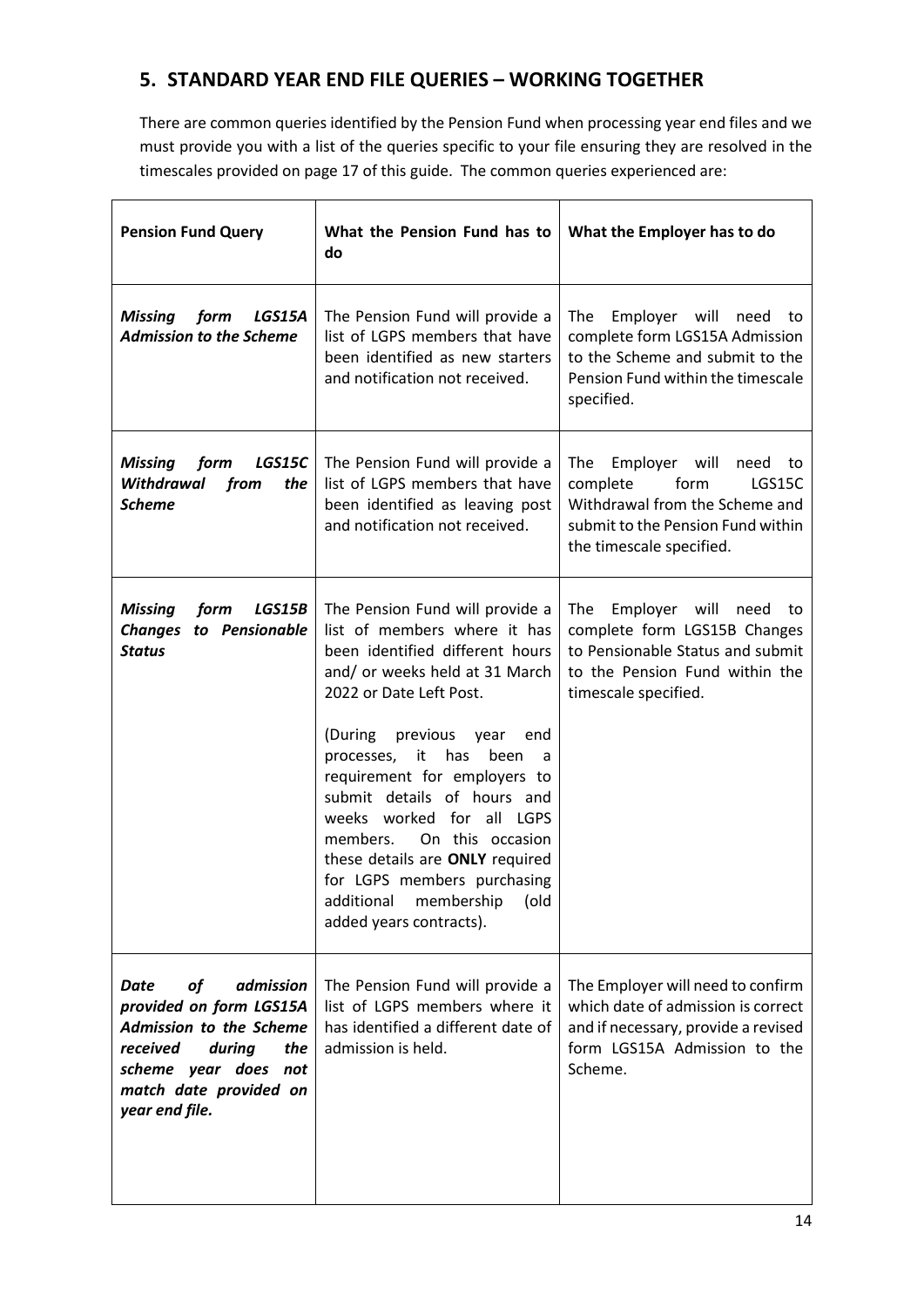## **5. STANDARD YEAR END FILE QUERIES – WORKING TOGETHER**

There are common queries identified by the Pension Fund when processing year end files and we must provide you with a list of the queries specific to your file ensuring they are resolved in the timescales provided on page 17 of this guide. The common queries experienced are:

| <b>Pension Fund Query</b>                                                                                                                                                                       | What the Pension Fund has to<br>do                                                                                                                                                                                                                                                                                                                                                                                                                                                                         | What the Employer has to do                                                                                                                                      |
|-------------------------------------------------------------------------------------------------------------------------------------------------------------------------------------------------|------------------------------------------------------------------------------------------------------------------------------------------------------------------------------------------------------------------------------------------------------------------------------------------------------------------------------------------------------------------------------------------------------------------------------------------------------------------------------------------------------------|------------------------------------------------------------------------------------------------------------------------------------------------------------------|
| <b>Missing</b><br>form<br>LGS15A<br><b>Admission to the Scheme</b>                                                                                                                              | The Pension Fund will provide a<br>list of LGPS members that have<br>been identified as new starters<br>and notification not received.                                                                                                                                                                                                                                                                                                                                                                     | The<br>Employer will need<br>to<br>complete form LGS15A Admission<br>to the Scheme and submit to the<br>Pension Fund within the timescale<br>specified.          |
| LGS15C<br><b>Missing</b><br>form<br>Withdrawal<br>from<br>the<br><b>Scheme</b>                                                                                                                  | The Pension Fund will provide a<br>list of LGPS members that have<br>been identified as leaving post<br>and notification not received.                                                                                                                                                                                                                                                                                                                                                                     | Employer will<br>The<br>need to<br>form<br>complete<br>LGS15C<br>Withdrawal from the Scheme and<br>submit to the Pension Fund within<br>the timescale specified. |
| LGS15B<br><b>Missing</b><br>form<br><b>Changes</b><br>to Pensionable<br><b>Status</b>                                                                                                           | The Pension Fund will provide a<br>list of members where it has<br>been identified different hours<br>and/ or weeks held at 31 March<br>2022 or Date Left Post.<br>(During<br>previous<br>year<br>end<br>has<br>processes,<br>been<br>it<br>a<br>requirement for employers to<br>submit details of hours and<br>weeks worked for all LGPS<br>On this occasion<br>members.<br>these details are ONLY required<br>for LGPS members purchasing<br>additional<br>membership<br>(old<br>added years contracts). | Employer will<br>The<br>need<br>to<br>complete form LGS15B Changes<br>to Pensionable Status and submit<br>to the Pension Fund within the<br>timescale specified. |
| <b>Date</b><br>of<br>admission<br>provided on form LGS15A<br><b>Admission to the Scheme</b><br>received<br>during<br>the<br>scheme year does<br>not<br>match date provided on<br>year end file. | The Pension Fund will provide a<br>list of LGPS members where it<br>has identified a different date of<br>admission is held.                                                                                                                                                                                                                                                                                                                                                                               | The Employer will need to confirm<br>which date of admission is correct<br>and if necessary, provide a revised<br>form LGS15A Admission to the<br>Scheme.        |

 $\overline{\phantom{0}}$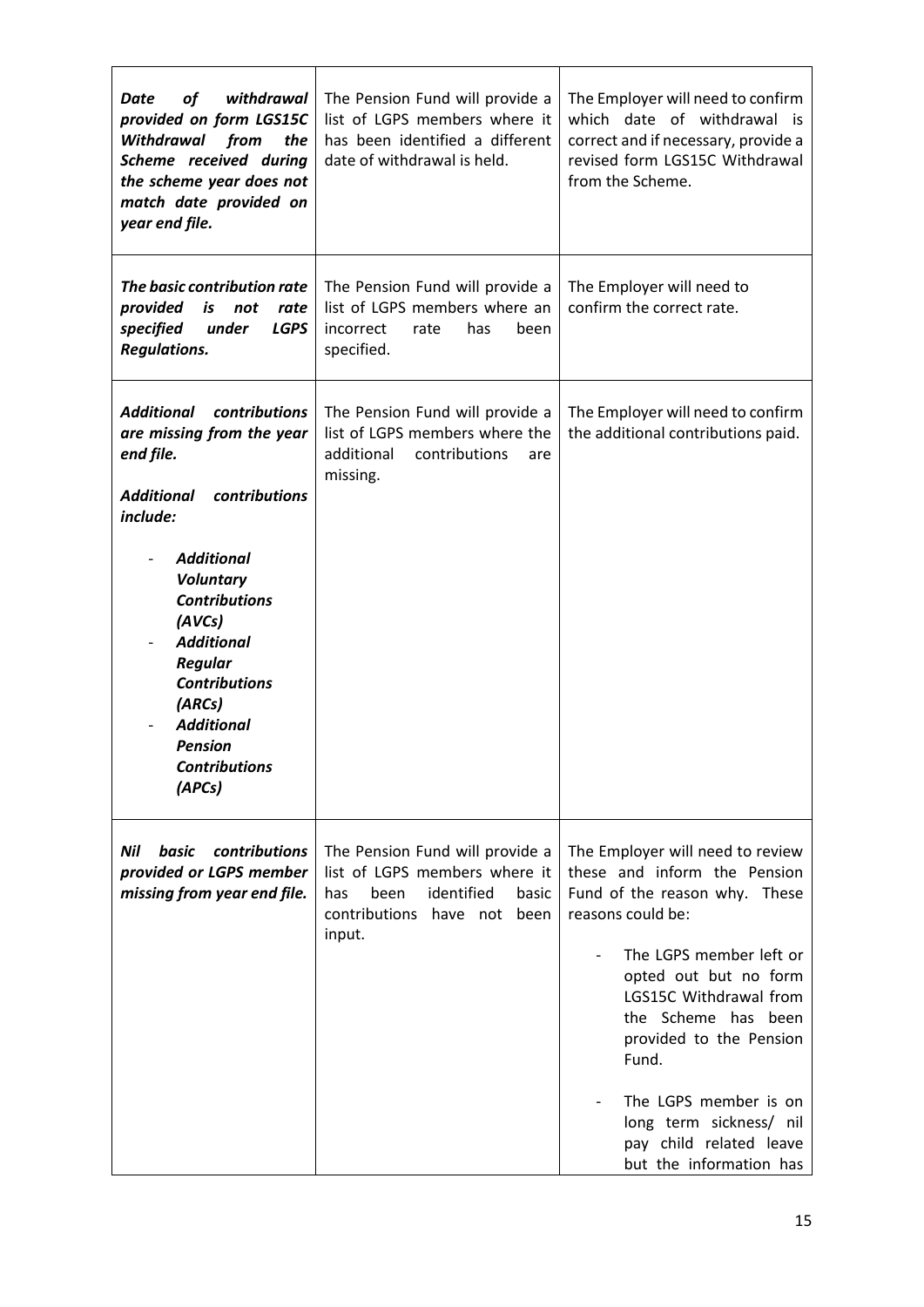| of<br>withdrawal<br>Date<br>provided on form LGS15C<br>Withdrawal<br>from<br>the<br>Scheme received during<br>the scheme year does not<br>match date provided on<br>year end file.                                                                                                                                                                   | The Pension Fund will provide a<br>list of LGPS members where it<br>has been identified a different<br>date of withdrawal is held.              | The Employer will need to confirm<br>which date of withdrawal is<br>correct and if necessary, provide a<br>revised form LGS15C Withdrawal<br>from the Scheme.                                                                                                                                                                                                             |
|------------------------------------------------------------------------------------------------------------------------------------------------------------------------------------------------------------------------------------------------------------------------------------------------------------------------------------------------------|-------------------------------------------------------------------------------------------------------------------------------------------------|---------------------------------------------------------------------------------------------------------------------------------------------------------------------------------------------------------------------------------------------------------------------------------------------------------------------------------------------------------------------------|
| The basic contribution rate<br>provided<br>is<br>not<br>rate<br><b>LGPS</b><br>specified<br>under<br><b>Regulations.</b>                                                                                                                                                                                                                             | The Pension Fund will provide a<br>list of LGPS members where an<br>incorrect<br>rate<br>has<br>been<br>specified.                              | The Employer will need to<br>confirm the correct rate.                                                                                                                                                                                                                                                                                                                    |
| <b>Additional</b><br>contributions<br>are missing from the year<br>end file.<br><b>Additional</b><br>contributions<br>include:<br><b>Additional</b><br><b>Voluntary</b><br><b>Contributions</b><br>(AVCs)<br><b>Additional</b><br>Regular<br><b>Contributions</b><br>(ARCs)<br><b>Additional</b><br><b>Pension</b><br><b>Contributions</b><br>(APCs) | The Pension Fund will provide a<br>list of LGPS members where the<br>additional<br>contributions<br>are<br>missing.                             | The Employer will need to confirm<br>the additional contributions paid.                                                                                                                                                                                                                                                                                                   |
| Nil<br>contributions<br>basic<br>provided or LGPS member<br>missing from year end file.                                                                                                                                                                                                                                                              | The Pension Fund will provide a<br>list of LGPS members where it<br>identified<br>been<br>basic<br>has<br>contributions have not been<br>input. | The Employer will need to review<br>these and inform the Pension<br>Fund of the reason why. These<br>reasons could be:<br>The LGPS member left or<br>opted out but no form<br>LGS15C Withdrawal from<br>the Scheme has been<br>provided to the Pension<br>Fund.<br>The LGPS member is on<br>long term sickness/ nil<br>pay child related leave<br>but the information has |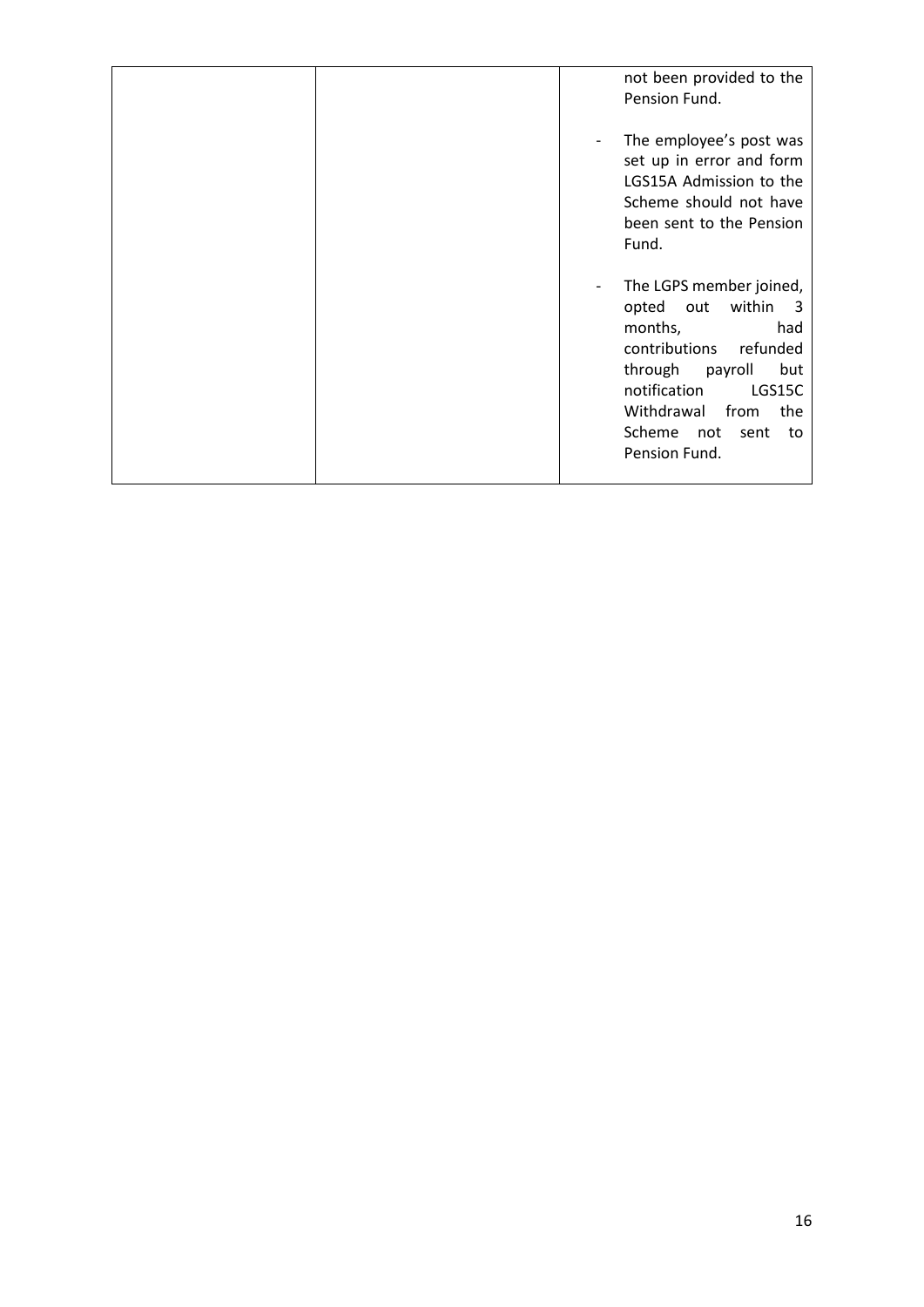|  | not been provided to the<br>Pension Fund.                                                                                                                                                                                                   |
|--|---------------------------------------------------------------------------------------------------------------------------------------------------------------------------------------------------------------------------------------------|
|  | The employee's post was<br>set up in error and form<br>LGS15A Admission to the<br>Scheme should not have<br>been sent to the Pension<br>Fund.                                                                                               |
|  | The LGPS member joined,<br>within<br>opted<br>out<br>- 3<br>months,<br>had<br>contributions<br>refunded<br>through<br>but<br>payroll<br>notification<br>LGS15C<br>Withdrawal<br>from<br>the<br>Scheme<br>not<br>sent<br>to<br>Pension Fund. |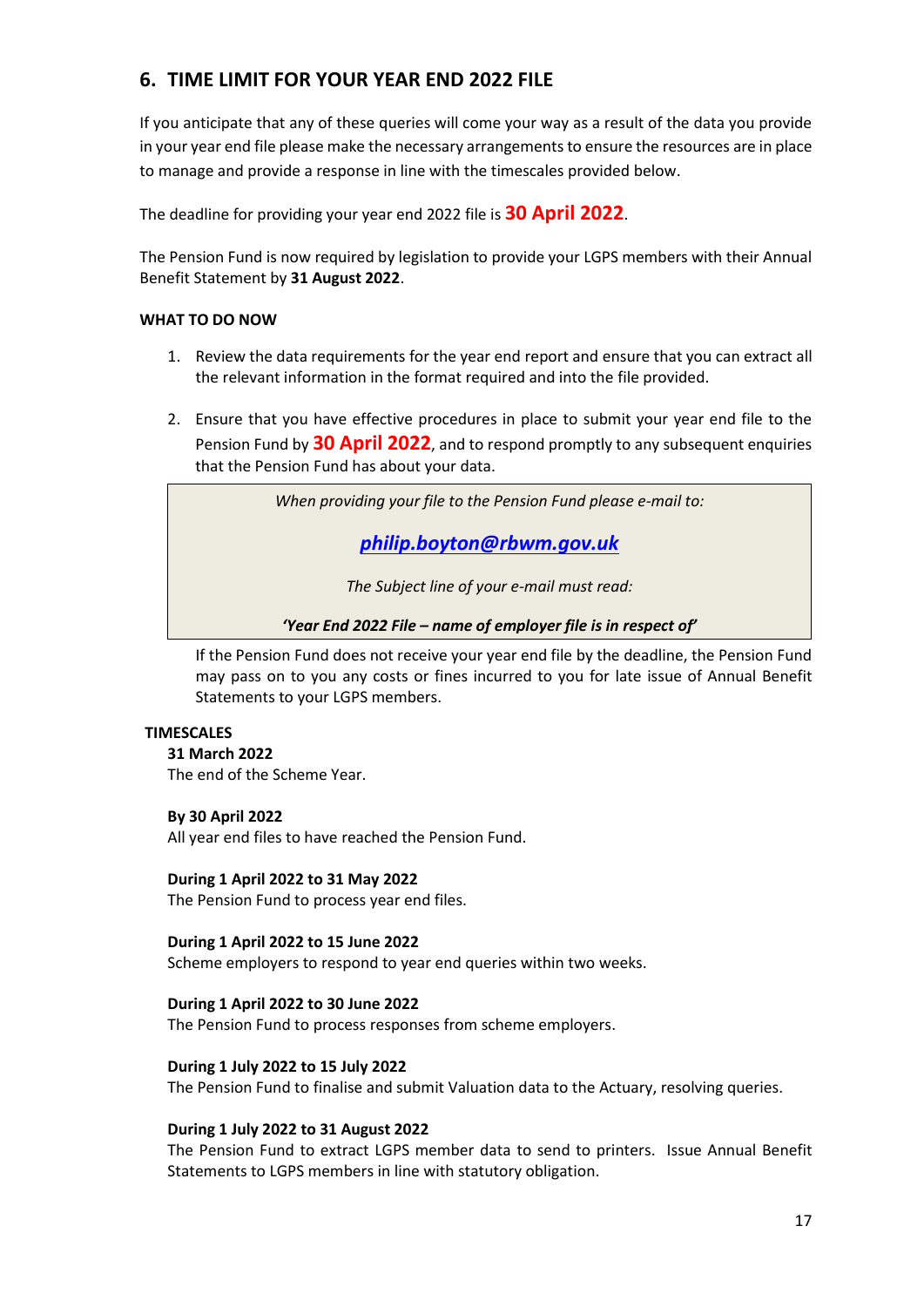## **6. TIME LIMIT FOR YOUR YEAR END 2022 FILE**

If you anticipate that any of these queries will come your way as a result of the data you provide in your year end file please make the necessary arrangements to ensure the resources are in place to manage and provide a response in line with the timescales provided below.

The deadline for providing your year end 2022 file is **30 April 2022**.

The Pension Fund is now required by legislation to provide your LGPS members with their Annual Benefit Statement by **31 August 2022**.

### **WHAT TO DO NOW**

- 1. Review the data requirements for the year end report and ensure that you can extract all the relevant information in the format required and into the file provided.
- 2. Ensure that you have effective procedures in place to submit your year end file to the Pension Fund by **30 April 2022**, and to respond promptly to any subsequent enquiries that the Pension Fund has about your data.

*When providing your file to the Pension Fund please e-mail to:*

*[philip.boyton@rbwm.gov.uk](mailto:info@berkshirepensions.org.uk)*

*The Subject line of your e-mail must read:*

*'Year End 2022 File – name of employer file is in respect of'*

If the Pension Fund does not receive your year end file by the deadline, the Pension Fund may pass on to you any costs or fines incurred to you for late issue of Annual Benefit Statements to your LGPS members.

#### **TIMESCALES**

**31 March 2022**

The end of the Scheme Year.

#### **By 30 April 2022**

All year end files to have reached the Pension Fund.

#### **During 1 April 2022 to 31 May 2022**

The Pension Fund to process year end files.

#### **During 1 April 2022 to 15 June 2022**

Scheme employers to respond to year end queries within two weeks.

#### **During 1 April 2022 to 30 June 2022**

The Pension Fund to process responses from scheme employers.

#### **During 1 July 2022 to 15 July 2022**

The Pension Fund to finalise and submit Valuation data to the Actuary, resolving queries.

#### **During 1 July 2022 to 31 August 2022**

The Pension Fund to extract LGPS member data to send to printers. Issue Annual Benefit Statements to LGPS members in line with statutory obligation.